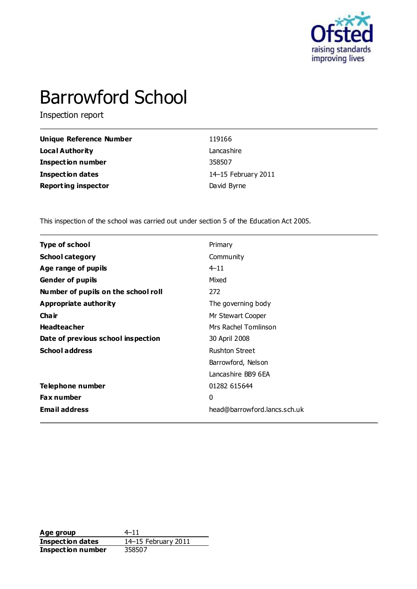

# Barrowford School

Inspection report

| Unique Reference Number    | 119166              |
|----------------------------|---------------------|
| Local Authority            | Lancashire          |
| <b>Inspection number</b>   | 358507              |
| <b>Inspection dates</b>    | 14–15 February 2011 |
| <b>Reporting inspector</b> | David Byrne         |

This inspection of the school was carried out under section 5 of the Education Act 2005.

| <b>Type of school</b>               | Primary                      |
|-------------------------------------|------------------------------|
| <b>School category</b>              | Community                    |
| Age range of pupils                 | $4 - 11$                     |
| <b>Gender of pupils</b>             | Mixed                        |
| Number of pupils on the school roll | 272                          |
| Appropriate authority               | The governing body           |
| Cha ir                              | Mr Stewart Cooper            |
| <b>Headteacher</b>                  | Mrs Rachel Tomlinson         |
| Date of previous school inspection  | 30 April 2008                |
| <b>School address</b>               | <b>Rushton Street</b>        |
|                                     | Barrowford, Nelson           |
|                                     | Lancashire BB9 6EA           |
| Telephone number                    | 01282 615644                 |
| Fax number                          | 0                            |
| <b>Email address</b>                | head@barrowford.lancs.sch.uk |

**Age group** 4–11<br> **Inspection dates** 14–15 February 2011 **Inspection dates** 14–15 February 2011 **Inspection number** 358507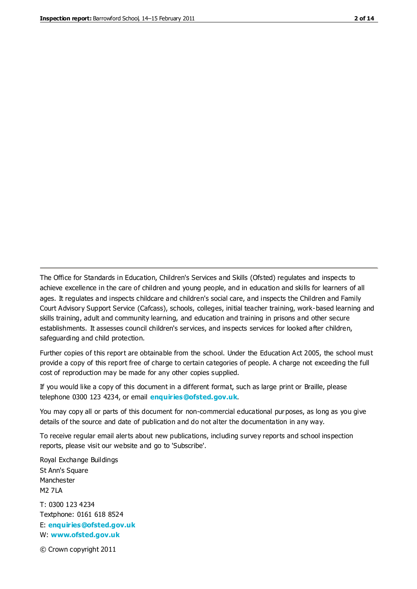The Office for Standards in Education, Children's Services and Skills (Ofsted) regulates and inspects to achieve excellence in the care of children and young people, and in education and skills for learners of all ages. It regulates and inspects childcare and children's social care, and inspects the Children and Family Court Advisory Support Service (Cafcass), schools, colleges, initial teacher training, work-based learning and skills training, adult and community learning, and education and training in prisons and other secure establishments. It assesses council children's services, and inspects services for looked after children, safeguarding and child protection.

Further copies of this report are obtainable from the school. Under the Education Act 2005, the school must provide a copy of this report free of charge to certain categories of people. A charge not exceeding the full cost of reproduction may be made for any other copies supplied.

If you would like a copy of this document in a different format, such as large print or Braille, please telephone 0300 123 4234, or email **[enquiries@ofsted.gov.uk](mailto:enquiries@ofsted.gov.uk)**.

You may copy all or parts of this document for non-commercial educational purposes, as long as you give details of the source and date of publication and do not alter the documentation in any way.

To receive regular email alerts about new publications, including survey reports and school inspection reports, please visit our website and go to 'Subscribe'.

Royal Exchange Buildings St Ann's Square Manchester M2 7LA T: 0300 123 4234 Textphone: 0161 618 8524 E: **[enquiries@ofsted.gov.uk](mailto:enquiries@ofsted.gov.uk)**

W: **[www.ofsted.gov.uk](http://www.ofsted.gov.uk/)**

© Crown copyright 2011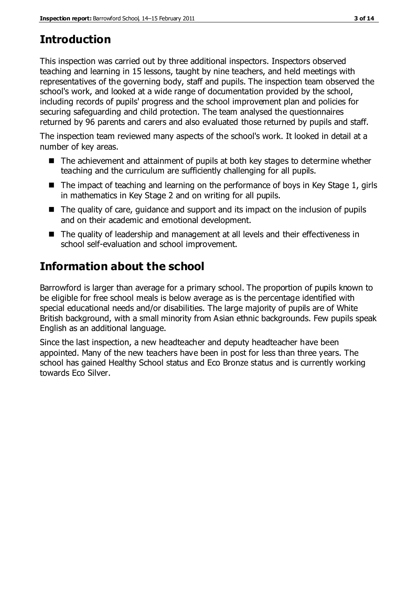# **Introduction**

This inspection was carried out by three additional inspectors. Inspectors observed teaching and learning in 15 lessons, taught by nine teachers, and held meetings with representatives of the governing body, staff and pupils. The inspection team observed the school's work, and looked at a wide range of documentation provided by the school, including records of pupils' progress and the school improvement plan and policies for securing safeguarding and child protection. The team analysed the questionnaires returned by 96 parents and carers and also evaluated those returned by pupils and staff.

The inspection team reviewed many aspects of the school's work. It looked in detail at a number of key areas.

- The achievement and attainment of pupils at both key stages to determine whether teaching and the curriculum are sufficiently challenging for all pupils.
- $\blacksquare$  The impact of teaching and learning on the performance of boys in Key Stage 1, girls in mathematics in Key Stage 2 and on writing for all pupils.
- The quality of care, guidance and support and its impact on the inclusion of pupils and on their academic and emotional development.
- The quality of leadership and management at all levels and their effectiveness in school self-evaluation and school improvement.

# **Information about the school**

Barrowford is larger than average for a primary school. The proportion of pupils known to be eligible for free school meals is below average as is the percentage identified with special educational needs and/or disabilities. The large majority of pupils are of White British background, with a small minority from Asian ethnic backgrounds. Few pupils speak English as an additional language.

Since the last inspection, a new headteacher and deputy headteacher have been appointed. Many of the new teachers have been in post for less than three years. The school has gained Healthy School status and Eco Bronze status and is currently working towards Eco Silver.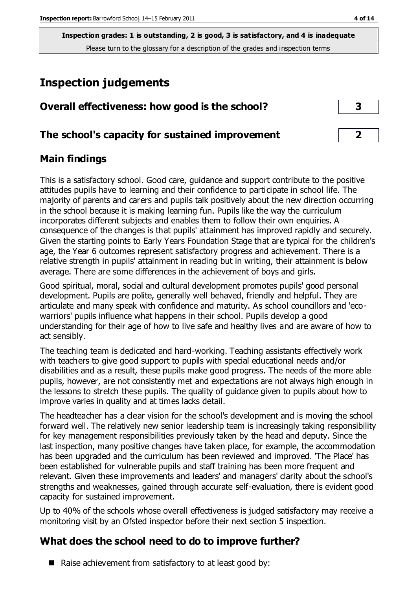# **Inspection judgements**

| Overall effectiveness: how good is the school?  |  |
|-------------------------------------------------|--|
| The school's capacity for sustained improvement |  |

#### **Main findings**

This is a satisfactory school. Good care, guidance and support contribute to the positive attitudes pupils have to learning and their confidence to participate in school life. The majority of parents and carers and pupils talk positively about the new direction occurring in the school because it is making learning fun. Pupils like the way the curriculum incorporates different subjects and enables them to follow their own enquiries. A consequence of the changes is that pupils' attainment has improved rapidly and securely. Given the starting points to Early Years Foundation Stage that are typical for the children's age, the Year 6 outcomes represent satisfactory progress and achievement. There is a relative strength in pupils' attainment in reading but in writing, their attainment is below average. There are some differences in the achievement of boys and girls.

Good spiritual, moral, social and cultural development promotes pupils' good personal development. Pupils are polite, generally well behaved, friendly and helpful. They are articulate and many speak with confidence and maturity. As school councillors and 'ecowarriors' pupils influence what happens in their school. Pupils develop a good understanding for their age of how to live safe and healthy lives and are aware of how to act sensibly.

The teaching team is dedicated and hard-working. Teaching assistants effectively work with teachers to give good support to pupils with special educational needs and/or disabilities and as a result, these pupils make good progress. The needs of the more able pupils, however, are not consistently met and expectations are not always high enough in the lessons to stretch these pupils. The quality of guidance given to pupils about how to improve varies in quality and at times lacks detail.

The headteacher has a clear vision for the school's development and is moving the school forward well. The relatively new senior leadership team is increasingly taking responsibility for key management responsibilities previously taken by the head and deputy. Since the last inspection, many positive changes have taken place, for example, the accommodation has been upgraded and the curriculum has been reviewed and improved. 'The Place' has been established for vulnerable pupils and staff training has been more frequent and relevant. Given these improvements and leaders' and managers' clarity about the school's strengths and weaknesses, gained through accurate self-evaluation, there is evident good capacity for sustained improvement.

Up to 40% of the schools whose overall effectiveness is judged satisfactory may receive a monitoring visit by an Ofsted inspector before their next section 5 inspection.

## **What does the school need to do to improve further?**

 $\blacksquare$  Raise achievement from satisfactory to at least good by: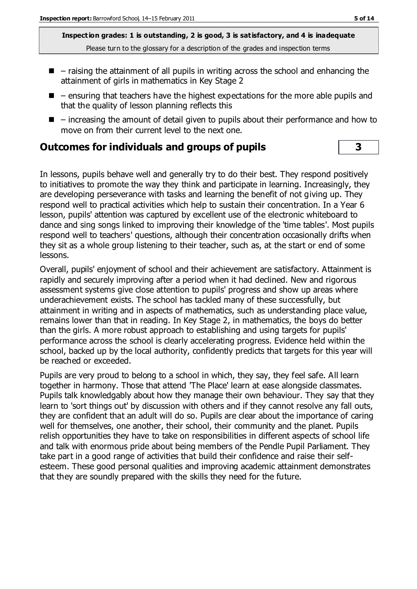- $\blacksquare$  raising the attainment of all pupils in writing across the school and enhancing the attainment of girls in mathematics in Key Stage 2
- $\blacksquare$  ensuring that teachers have the highest expectations for the more able pupils and that the quality of lesson planning reflects this
- $\blacksquare$  increasing the amount of detail given to pupils about their performance and how to move on from their current level to the next one.

#### **Outcomes for individuals and groups of pupils 3**

In lessons, pupils behave well and generally try to do their best. They respond positively to initiatives to promote the way they think and participate in learning. Increasingly, they are developing perseverance with tasks and learning the benefit of not giving up. They respond well to practical activities which help to sustain their concentration. In a Year 6 lesson, pupils' attention was captured by excellent use of the electronic whiteboard to dance and sing songs linked to improving their knowledge of the 'time tables'. Most pupils respond well to teachers' questions, although their concentration occasionally drifts when they sit as a whole group listening to their teacher, such as, at the start or end of some lessons.

Overall, pupils' enjoyment of school and their achievement are satisfactory. Attainment is rapidly and securely improving after a period when it had declined. New and rigorous assessment systems give close attention to pupils' progress and show up areas where underachievement exists. The school has tackled many of these successfully, but attainment in writing and in aspects of mathematics, such as understanding place value, remains lower than that in reading. In Key Stage 2, in mathematics, the boys do better than the girls. A more robust approach to establishing and using targets for pupils' performance across the school is clearly accelerating progress. Evidence held within the school, backed up by the local authority, confidently predicts that targets for this year will be reached or exceeded.

Pupils are very proud to belong to a school in which, they say, they feel safe. All learn together in harmony. Those that attend 'The Place' learn at ease alongside classmates. Pupils talk knowledgably about how they manage their own behaviour. They say that they learn to 'sort things out' by discussion with others and if they cannot resolve any fall outs, they are confident that an adult will do so. Pupils are clear about the importance of caring well for themselves, one another, their school, their community and the planet. Pupils relish opportunities they have to take on responsibilities in different aspects of school life and talk with enormous pride about being members of the Pendle Pupil Parliament. They take part in a good range of activities that build their confidence and raise their selfesteem. These good personal qualities and improving academic attainment demonstrates that they are soundly prepared with the skills they need for the future.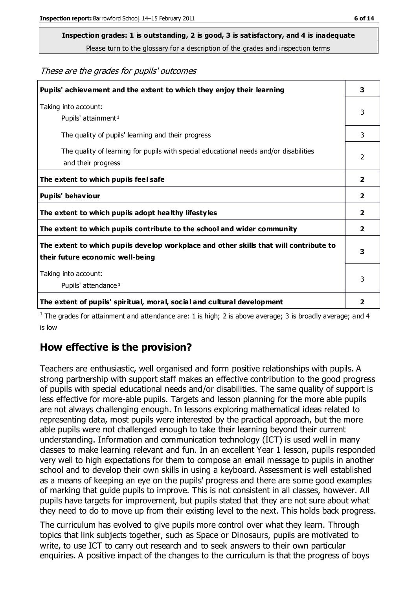# **Inspection grades: 1 is outstanding, 2 is good, 3 is satisfactory, and 4 is inadequate**

Please turn to the glossary for a description of the grades and inspection terms

#### These are the grades for pupils' outcomes

| Pupils' achievement and the extent to which they enjoy their learning                                                     | 3              |
|---------------------------------------------------------------------------------------------------------------------------|----------------|
| Taking into account:<br>Pupils' attainment <sup>1</sup>                                                                   | 3              |
| The quality of pupils' learning and their progress                                                                        | 3              |
| The quality of learning for pupils with special educational needs and/or disabilities<br>and their progress               | 2              |
| The extent to which pupils feel safe                                                                                      | $\mathbf{2}$   |
| Pupils' behaviour                                                                                                         | 2              |
| The extent to which pupils adopt healthy lifestyles                                                                       | 2              |
| The extent to which pupils contribute to the school and wider community                                                   | $\overline{2}$ |
| The extent to which pupils develop workplace and other skills that will contribute to<br>their future economic well-being | 3              |
| Taking into account:<br>Pupils' attendance <sup>1</sup>                                                                   | 3              |
| The extent of pupils' spiritual, moral, social and cultural development                                                   | $\overline{2}$ |

<sup>1</sup> The grades for attainment and attendance are: 1 is high; 2 is above average; 3 is broadly average; and 4 is low

#### **How effective is the provision?**

Teachers are enthusiastic, well organised and form positive relationships with pupils. A strong partnership with support staff makes an effective contribution to the good progress of pupils with special educational needs and/or disabilities. The same quality of support is less effective for more-able pupils. Targets and lesson planning for the more able pupils are not always challenging enough. In lessons exploring mathematical ideas related to representing data, most pupils were interested by the practical approach, but the more able pupils were not challenged enough to take their learning beyond their current understanding. Information and communication technology (ICT) is used well in many classes to make learning relevant and fun. In an excellent Year 1 lesson, pupils responded very well to high expectations for them to compose an email message to pupils in another school and to develop their own skills in using a keyboard. Assessment is well established as a means of keeping an eye on the pupils' progress and there are some good examples of marking that guide pupils to improve. This is not consistent in all classes, however. All pupils have targets for improvement, but pupils stated that they are not sure about what they need to do to move up from their existing level to the next. This holds back progress.

The curriculum has evolved to give pupils more control over what they learn. Through topics that link subjects together, such as Space or Dinosaurs, pupils are motivated to write, to use ICT to carry out research and to seek answers to their own particular enquiries. A positive impact of the changes to the curriculum is that the progress of boys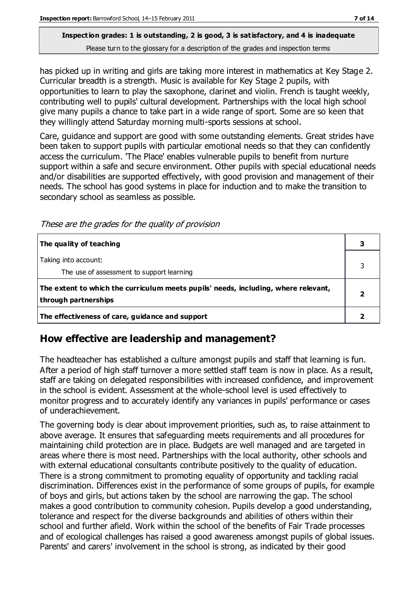has picked up in writing and girls are taking more interest in mathematics at Key Stage 2. Curricular breadth is a strength. Music is available for Key Stage 2 pupils, with opportunities to learn to play the saxophone, clarinet and violin. French is taught weekly, contributing well to pupils' cultural development. Partnerships with the local high school give many pupils a chance to take part in a wide range of sport. Some are so keen that they willingly attend Saturday morning multi-sports sessions at school.

Care, guidance and support are good with some outstanding elements. Great strides have been taken to support pupils with particular emotional needs so that they can confidently access the curriculum. 'The Place' enables vulnerable pupils to benefit from nurture support within a safe and secure environment. Other pupils with special educational needs and/or disabilities are supported effectively, with good provision and management of their needs. The school has good systems in place for induction and to make the transition to secondary school as seamless as possible.

These are the grades for the quality of provision

| The quality of teaching                                                                                    |  |
|------------------------------------------------------------------------------------------------------------|--|
| Taking into account:<br>The use of assessment to support learning                                          |  |
| The extent to which the curriculum meets pupils' needs, including, where relevant,<br>through partnerships |  |
| The effectiveness of care, guidance and support                                                            |  |

#### **How effective are leadership and management?**

The headteacher has established a culture amongst pupils and staff that learning is fun. After a period of high staff turnover a more settled staff team is now in place. As a result, staff are taking on delegated responsibilities with increased confidence, and improvement in the school is evident. Assessment at the whole-school level is used effectively to monitor progress and to accurately identify any variances in pupils' performance or cases of underachievement.

The governing body is clear about improvement priorities, such as, to raise attainment to above average. It ensures that safeguarding meets requirements and all procedures for maintaining child protection are in place. Budgets are well managed and are targeted in areas where there is most need. Partnerships with the local authority, other schools and with external educational consultants contribute positively to the quality of education. There is a strong commitment to promoting equality of opportunity and tackling racial discrimination. Differences exist in the performance of some groups of pupils, for example of boys and girls, but actions taken by the school are narrowing the gap. The school makes a good contribution to community cohesion. Pupils develop a good understanding, tolerance and respect for the diverse backgrounds and abilities of others within their school and further afield. Work within the school of the benefits of Fair Trade processes and of ecological challenges has raised a good awareness amongst pupils of global issues. Parents' and carers' involvement in the school is strong, as indicated by their good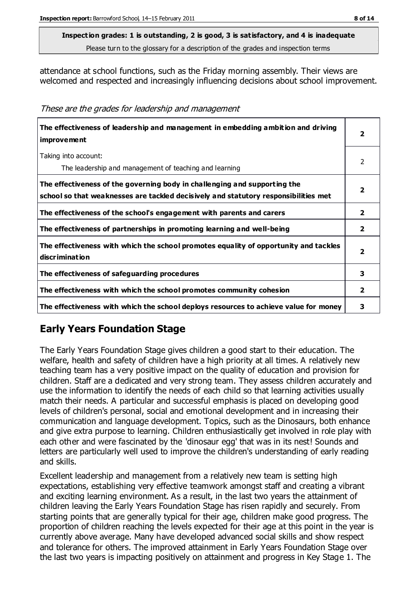attendance at school functions, such as the Friday morning assembly. Their views are welcomed and respected and increasingly influencing decisions about school improvement.

| The effectiveness of leadership and management in embedding ambition and driving<br>improvement                                                                  | 2                       |
|------------------------------------------------------------------------------------------------------------------------------------------------------------------|-------------------------|
| Taking into account:<br>The leadership and management of teaching and learning                                                                                   | 2                       |
| The effectiveness of the governing body in challenging and supporting the<br>school so that weaknesses are tackled decisively and statutory responsibilities met | 2                       |
| The effectiveness of the school's engagement with parents and carers                                                                                             | 2                       |
| The effectiveness of partnerships in promoting learning and well-being                                                                                           | 2                       |
| The effectiveness with which the school promotes equality of opportunity and tackles<br>discrimination                                                           | $\overline{\mathbf{2}}$ |
| The effectiveness of safeguarding procedures                                                                                                                     | 3                       |
| The effectiveness with which the school promotes community cohesion                                                                                              | 2                       |
| The effectiveness with which the school deploys resources to achieve value for money                                                                             | з                       |

These are the grades for leadership and management

## **Early Years Foundation Stage**

The Early Years Foundation Stage gives children a good start to their education. The welfare, health and safety of children have a high priority at all times. A relatively new teaching team has a very positive impact on the quality of education and provision for children. Staff are a dedicated and very strong team. They assess children accurately and use the information to identify the needs of each child so that learning activities usually match their needs. A particular and successful emphasis is placed on developing good levels of children's personal, social and emotional development and in increasing their communication and language development. Topics, such as the Dinosaurs, both enhance and give extra purpose to learning. Children enthusiastically get involved in role play with each other and were fascinated by the 'dinosaur egg' that was in its nest! Sounds and letters are particularly well used to improve the children's understanding of early reading and skills.

Excellent leadership and management from a relatively new team is setting high expectations, establishing very effective teamwork amongst staff and creating a vibrant and exciting learning environment. As a result, in the last two years the attainment of children leaving the Early Years Foundation Stage has risen rapidly and securely. From starting points that are generally typical for their age, children make good progress. The proportion of children reaching the levels expected for their age at this point in the year is currently above average. Many have developed advanced social skills and show respect and tolerance for others. The improved attainment in Early Years Foundation Stage over the last two years is impacting positively on attainment and progress in Key Stage 1. The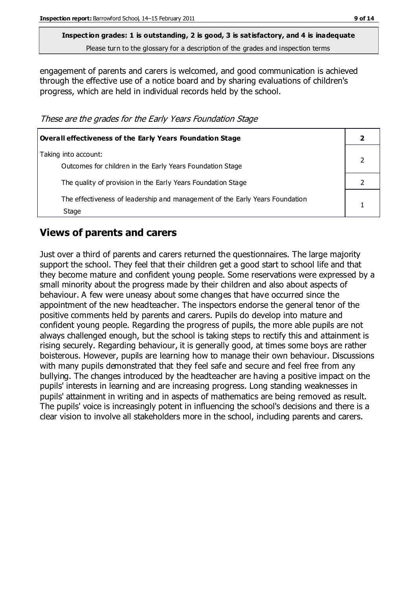engagement of parents and carers is welcomed, and good communication is achieved through the effective use of a notice board and by sharing evaluations of children's progress, which are held in individual records held by the school.

These are the grades for the Early Years Foundation Stage

| <b>Overall effectiveness of the Early Years Foundation Stage</b>                      |  |
|---------------------------------------------------------------------------------------|--|
| Taking into account:<br>Outcomes for children in the Early Years Foundation Stage     |  |
| The quality of provision in the Early Years Foundation Stage                          |  |
| The effectiveness of leadership and management of the Early Years Foundation<br>Stage |  |

#### **Views of parents and carers**

Just over a third of parents and carers returned the questionnaires. The large majority support the school. They feel that their children get a good start to school life and that they become mature and confident young people. Some reservations were expressed by a small minority about the progress made by their children and also about aspects of behaviour. A few were uneasy about some changes that have occurred since the appointment of the new headteacher. The inspectors endorse the general tenor of the positive comments held by parents and carers. Pupils do develop into mature and confident young people. Regarding the progress of pupils, the more able pupils are not always challenged enough, but the school is taking steps to rectify this and attainment is rising securely. Regarding behaviour, it is generally good, at times some boys are rather boisterous. However, pupils are learning how to manage their own behaviour. Discussions with many pupils demonstrated that they feel safe and secure and feel free from any bullying. The changes introduced by the headteacher are having a positive impact on the pupils' interests in learning and are increasing progress. Long standing weaknesses in pupils' attainment in writing and in aspects of mathematics are being removed as result. The pupils' voice is increasingly potent in influencing the school's decisions and there is a clear vision to involve all stakeholders more in the school, including parents and carers.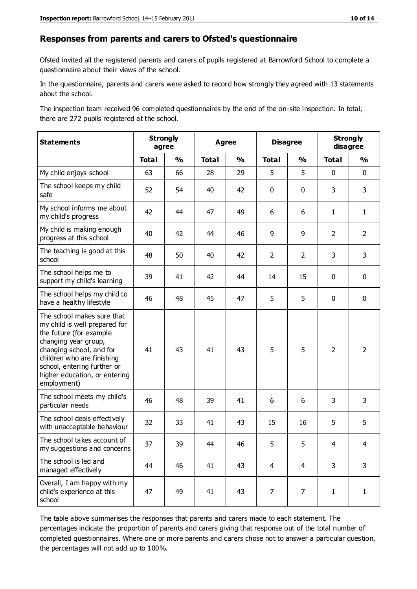#### **Responses from parents and carers to Ofsted's questionnaire**

Ofsted invited all the registered parents and carers of pupils registered at Barrowford School to complete a questionnaire about their views of the school.

In the questionnaire, parents and carers were asked to record how strongly they agreed with 13 statements about the school.

The inspection team received 96 completed questionnaires by the end of the on-site inspection. In total, there are 272 pupils registered at the school.

| <b>Statements</b>                                                                                                                                                                                                                                       | <b>Strongly</b><br>agree |               | <b>Agree</b> |               | <b>Disagree</b> |                | <b>Strongly</b><br>disagree |                |
|---------------------------------------------------------------------------------------------------------------------------------------------------------------------------------------------------------------------------------------------------------|--------------------------|---------------|--------------|---------------|-----------------|----------------|-----------------------------|----------------|
|                                                                                                                                                                                                                                                         | <b>Total</b>             | $\frac{1}{2}$ | <b>Total</b> | $\frac{0}{0}$ | <b>Total</b>    | $\frac{0}{0}$  | <b>Total</b>                | $\frac{0}{0}$  |
| My child enjoys school                                                                                                                                                                                                                                  | 63                       | 66            | 28           | 29            | 5               | 5              | $\mathbf 0$                 | $\mathbf 0$    |
| The school keeps my child<br>safe                                                                                                                                                                                                                       | 52                       | 54            | 40           | 42            | 0               | $\mathbf 0$    | 3                           | 3              |
| My school informs me about<br>my child's progress                                                                                                                                                                                                       | 42                       | 44            | 47           | 49            | 6               | 6              | $\mathbf{1}$                | $\mathbf{1}$   |
| My child is making enough<br>progress at this school                                                                                                                                                                                                    | 40                       | 42            | 44           | 46            | 9               | 9              | $\overline{2}$              | $\overline{2}$ |
| The teaching is good at this<br>school                                                                                                                                                                                                                  | 48                       | 50            | 40           | 42            | $\overline{2}$  | $\overline{2}$ | 3                           | 3              |
| The school helps me to<br>support my child's learning                                                                                                                                                                                                   | 39                       | 41            | 42           | 44            | 14              | 15             | $\mathbf 0$                 | $\mathbf 0$    |
| The school helps my child to<br>have a healthy lifestyle                                                                                                                                                                                                | 46                       | 48            | 45           | 47            | 5               | 5              | $\mathbf 0$                 | $\mathbf 0$    |
| The school makes sure that<br>my child is well prepared for<br>the future (for example<br>changing year group,<br>changing school, and for<br>children who are finishing<br>school, entering further or<br>higher education, or entering<br>employment) | 41                       | 43            | 41           | 43            | 5               | 5              | $\overline{2}$              | $\overline{2}$ |
| The school meets my child's<br>particular needs                                                                                                                                                                                                         | 46                       | 48            | 39           | 41            | 6               | 6              | 3                           | 3              |
| The school deals effectively<br>with unacceptable behaviour                                                                                                                                                                                             | 32                       | 33            | 41           | 43            | 15              | 16             | 5                           | 5              |
| The school takes account of<br>my suggestions and concerns                                                                                                                                                                                              | 37                       | 39            | 44           | 46            | 5               | 5              | 4                           | 4              |
| The school is led and<br>managed effectively                                                                                                                                                                                                            | 44                       | 46            | 41           | 43            | $\overline{4}$  | $\overline{4}$ | 3                           | 3              |
| Overall, I am happy with my<br>child's experience at this<br>school                                                                                                                                                                                     | 47                       | 49            | 41           | 43            | $\overline{7}$  | $\overline{7}$ | $\mathbf{1}$                | $\mathbf{1}$   |

The table above summarises the responses that parents and carers made to each statement. The percentages indicate the proportion of parents and carers giving that response out of the total number of completed questionnaires. Where one or more parents and carers chose not to answer a particular question, the percentages will not add up to 100%.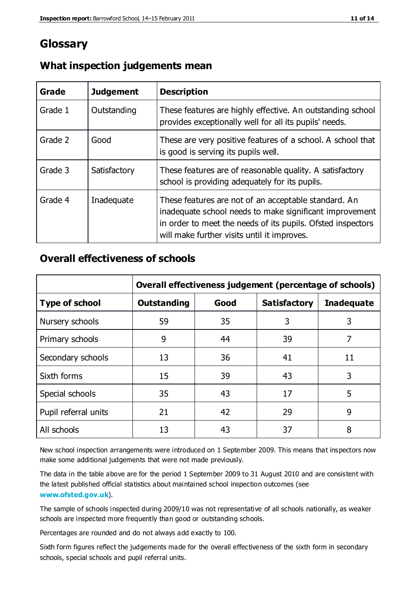## **Glossary**

| Grade   | <b>Judgement</b> | <b>Description</b>                                                                                                                                                                                                            |
|---------|------------------|-------------------------------------------------------------------------------------------------------------------------------------------------------------------------------------------------------------------------------|
| Grade 1 | Outstanding      | These features are highly effective. An outstanding school<br>provides exceptionally well for all its pupils' needs.                                                                                                          |
| Grade 2 | Good             | These are very positive features of a school. A school that<br>is good is serving its pupils well.                                                                                                                            |
| Grade 3 | Satisfactory     | These features are of reasonable quality. A satisfactory<br>school is providing adequately for its pupils.                                                                                                                    |
| Grade 4 | Inadequate       | These features are not of an acceptable standard. An<br>inadequate school needs to make significant improvement<br>in order to meet the needs of its pupils. Ofsted inspectors<br>will make further visits until it improves. |

#### **What inspection judgements mean**

#### **Overall effectiveness of schools**

|                       | Overall effectiveness judgement (percentage of schools) |      |                     |                   |
|-----------------------|---------------------------------------------------------|------|---------------------|-------------------|
| <b>Type of school</b> | <b>Outstanding</b>                                      | Good | <b>Satisfactory</b> | <b>Inadequate</b> |
| Nursery schools       | 59                                                      | 35   | 3                   | 3                 |
| Primary schools       | 9                                                       | 44   | 39                  | 7                 |
| Secondary schools     | 13                                                      | 36   | 41                  | 11                |
| Sixth forms           | 15                                                      | 39   | 43                  | 3                 |
| Special schools       | 35                                                      | 43   | 17                  | 5                 |
| Pupil referral units  | 21                                                      | 42   | 29                  | 9                 |
| All schools           | 13                                                      | 43   | 37                  | 8                 |

New school inspection arrangements were introduced on 1 September 2009. This means that inspectors now make some additional judgements that were not made previously.

The data in the table above are for the period 1 September 2009 to 31 August 2010 and are consistent with the latest published official statistics about maintained school inspection outcomes (see **[www.ofsted.gov.uk](http://www.ofsted.gov.uk/)**).

The sample of schools inspected during 2009/10 was not representative of all schools nationally, as weaker schools are inspected more frequently than good or outstanding schools.

Percentages are rounded and do not always add exactly to 100.

Sixth form figures reflect the judgements made for the overall effectiveness of the sixth form in secondary schools, special schools and pupil referral units.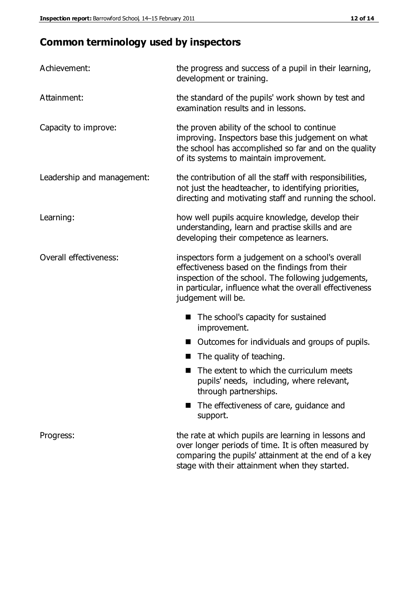# **Common terminology used by inspectors**

| Achievement:               | the progress and success of a pupil in their learning,<br>development or training.                                                                                                                                                          |  |  |
|----------------------------|---------------------------------------------------------------------------------------------------------------------------------------------------------------------------------------------------------------------------------------------|--|--|
| Attainment:                | the standard of the pupils' work shown by test and<br>examination results and in lessons.                                                                                                                                                   |  |  |
| Capacity to improve:       | the proven ability of the school to continue<br>improving. Inspectors base this judgement on what<br>the school has accomplished so far and on the quality<br>of its systems to maintain improvement.                                       |  |  |
| Leadership and management: | the contribution of all the staff with responsibilities,<br>not just the headteacher, to identifying priorities,<br>directing and motivating staff and running the school.                                                                  |  |  |
| Learning:                  | how well pupils acquire knowledge, develop their<br>understanding, learn and practise skills and are<br>developing their competence as learners.                                                                                            |  |  |
| Overall effectiveness:     | inspectors form a judgement on a school's overall<br>effectiveness based on the findings from their<br>inspection of the school. The following judgements,<br>in particular, influence what the overall effectiveness<br>judgement will be. |  |  |
|                            | The school's capacity for sustained<br>improvement.                                                                                                                                                                                         |  |  |
|                            | Outcomes for individuals and groups of pupils.                                                                                                                                                                                              |  |  |
|                            | The quality of teaching.                                                                                                                                                                                                                    |  |  |
|                            | The extent to which the curriculum meets<br>pupils' needs, including, where relevant,<br>through partnerships.                                                                                                                              |  |  |
|                            | The effectiveness of care, guidance and<br>support.                                                                                                                                                                                         |  |  |
| Progress:                  | the rate at which pupils are learning in lessons and<br>over longer periods of time. It is often measured by<br>comparing the pupils' attainment at the end of a key                                                                        |  |  |

stage with their attainment when they started.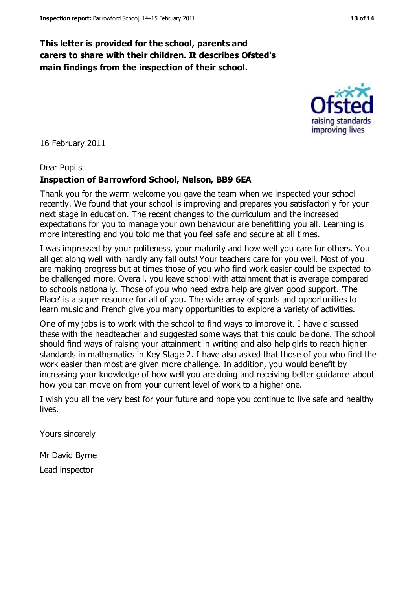#### **This letter is provided for the school, parents and carers to share with their children. It describes Ofsted's main findings from the inspection of their school.**

16 February 2011

#### Dear Pupils

#### **Inspection of Barrowford School, Nelson, BB9 6EA**

Thank you for the warm welcome you gave the team when we inspected your school recently. We found that your school is improving and prepares you satisfactorily for your next stage in education. The recent changes to the curriculum and the increased expectations for you to manage your own behaviour are benefitting you all. Learning is more interesting and you told me that you feel safe and secure at all times.

I was impressed by your politeness, your maturity and how well you care for others. You all get along well with hardly any fall outs! Your teachers care for you well. Most of you are making progress but at times those of you who find work easier could be expected to be challenged more. Overall, you leave school with attainment that is average compared to schools nationally. Those of you who need extra help are given good support. 'The Place' is a super resource for all of you. The wide array of sports and opportunities to learn music and French give you many opportunities to explore a variety of activities.

One of my jobs is to work with the school to find ways to improve it. I have discussed these with the headteacher and suggested some ways that this could be done. The school should find ways of raising your attainment in writing and also help girls to reach higher standards in mathematics in Key Stage 2. I have also asked that those of you who find the work easier than most are given more challenge. In addition, you would benefit by increasing your knowledge of how well you are doing and receiving better guidance about how you can move on from your current level of work to a higher one.

I wish you all the very best for your future and hope you continue to live safe and healthy lives.

Yours sincerely

Mr David Byrne

Lead inspector